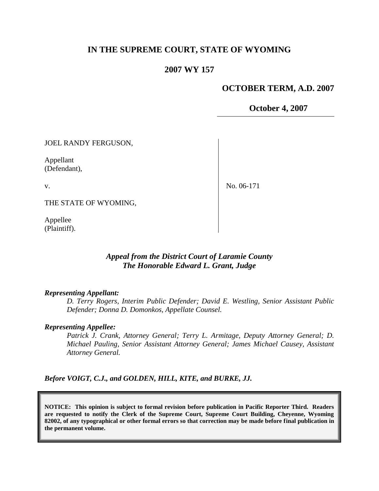# **IN THE SUPREME COURT, STATE OF WYOMING**

### **2007 WY 157**

### **OCTOBER TERM, A.D. 2007**

**October 4, 2007**

JOEL RANDY FERGUSON,

Appellant (Defendant),

v.

No. 06-171

THE STATE OF WYOMING,

Appellee (Plaintiff).

# *Appeal from the District Court of Laramie County The Honorable Edward L. Grant, Judge*

#### *Representing Appellant:*

*D. Terry Rogers, Interim Public Defender; David E. Westling, Senior Assistant Public Defender; Donna D. Domonkos, Appellate Counsel.*

### *Representing Appellee:*

*Patrick J. Crank, Attorney General; Terry L. Armitage, Deputy Attorney General; D. Michael Pauling, Senior Assistant Attorney General; James Michael Causey, Assistant Attorney General.*

*Before VOIGT, C.J., and GOLDEN, HILL, KITE, and BURKE, JJ.*

**NOTICE: This opinion is subject to formal revision before publication in Pacific Reporter Third. Readers are requested to notify the Clerk of the Supreme Court, Supreme Court Building, Cheyenne, Wyoming 82002, of any typographical or other formal errors so that correction may be made before final publication in the permanent volume.**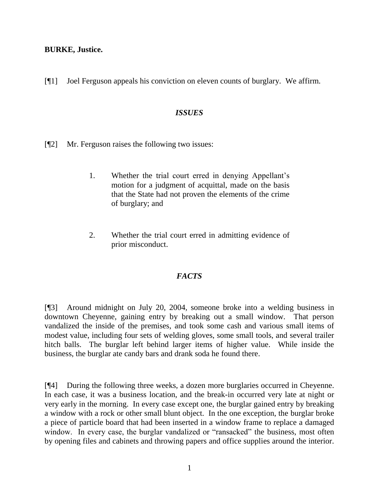**BURKE, Justice.**

[¶1] Joel Ferguson appeals his conviction on eleven counts of burglary. We affirm.

### *ISSUES*

- [¶2] Mr. Ferguson raises the following two issues:
	- 1. Whether the trial court erred in denying Appellant"s motion for a judgment of acquittal, made on the basis that the State had not proven the elements of the crime of burglary; and
	- 2. Whether the trial court erred in admitting evidence of prior misconduct.

## *FACTS*

[¶3] Around midnight on July 20, 2004, someone broke into a welding business in downtown Cheyenne, gaining entry by breaking out a small window. That person vandalized the inside of the premises, and took some cash and various small items of modest value, including four sets of welding gloves, some small tools, and several trailer hitch balls. The burglar left behind larger items of higher value. While inside the business, the burglar ate candy bars and drank soda he found there.

[¶4] During the following three weeks, a dozen more burglaries occurred in Cheyenne. In each case, it was a business location, and the break-in occurred very late at night or very early in the morning. In every case except one, the burglar gained entry by breaking a window with a rock or other small blunt object. In the one exception, the burglar broke a piece of particle board that had been inserted in a window frame to replace a damaged window. In every case, the burglar vandalized or "ransacked" the business, most often by opening files and cabinets and throwing papers and office supplies around the interior.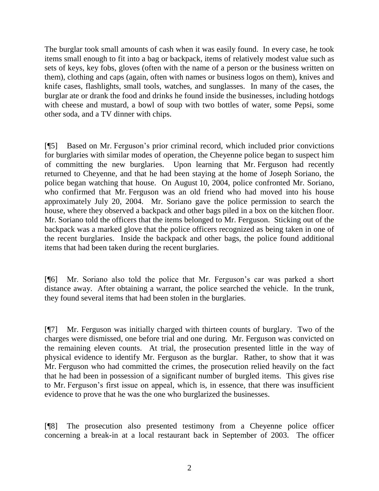The burglar took small amounts of cash when it was easily found. In every case, he took items small enough to fit into a bag or backpack, items of relatively modest value such as sets of keys, key fobs, gloves (often with the name of a person or the business written on them), clothing and caps (again, often with names or business logos on them), knives and knife cases, flashlights, small tools, watches, and sunglasses. In many of the cases, the burglar ate or drank the food and drinks he found inside the businesses, including hotdogs with cheese and mustard, a bowl of soup with two bottles of water, some Pepsi, some other soda, and a TV dinner with chips.

[¶5] Based on Mr. Ferguson"s prior criminal record, which included prior convictions for burglaries with similar modes of operation, the Cheyenne police began to suspect him of committing the new burglaries. Upon learning that Mr. Ferguson had recently returned to Cheyenne, and that he had been staying at the home of Joseph Soriano, the police began watching that house. On August 10, 2004, police confronted Mr. Soriano, who confirmed that Mr. Ferguson was an old friend who had moved into his house approximately July 20, 2004. Mr. Soriano gave the police permission to search the house, where they observed a backpack and other bags piled in a box on the kitchen floor. Mr. Soriano told the officers that the items belonged to Mr. Ferguson. Sticking out of the backpack was a marked glove that the police officers recognized as being taken in one of the recent burglaries. Inside the backpack and other bags, the police found additional items that had been taken during the recent burglaries.

[¶6] Mr. Soriano also told the police that Mr. Ferguson"s car was parked a short distance away. After obtaining a warrant, the police searched the vehicle. In the trunk, they found several items that had been stolen in the burglaries.

[¶7] Mr. Ferguson was initially charged with thirteen counts of burglary. Two of the charges were dismissed, one before trial and one during. Mr. Ferguson was convicted on the remaining eleven counts. At trial, the prosecution presented little in the way of physical evidence to identify Mr. Ferguson as the burglar. Rather, to show that it was Mr. Ferguson who had committed the crimes, the prosecution relied heavily on the fact that he had been in possession of a significant number of burgled items. This gives rise to Mr. Ferguson"s first issue on appeal, which is, in essence, that there was insufficient evidence to prove that he was the one who burglarized the businesses.

[¶8] The prosecution also presented testimony from a Cheyenne police officer concerning a break-in at a local restaurant back in September of 2003. The officer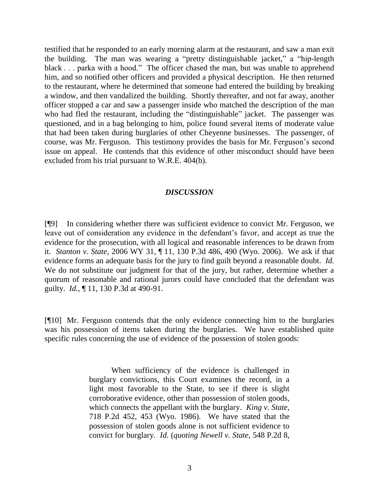testified that he responded to an early morning alarm at the restaurant, and saw a man exit the building. The man was wearing a "pretty distinguishable jacket," a "hip-length black . . . parka with a hood." The officer chased the man, but was unable to apprehend him, and so notified other officers and provided a physical description. He then returned to the restaurant, where he determined that someone had entered the building by breaking a window, and then vandalized the building. Shortly thereafter, and not far away, another officer stopped a car and saw a passenger inside who matched the description of the man who had fled the restaurant, including the "distinguishable" jacket. The passenger was questioned, and in a bag belonging to him, police found several items of moderate value that had been taken during burglaries of other Cheyenne businesses. The passenger, of course, was Mr. Ferguson. This testimony provides the basis for Mr. Ferguson"s second issue on appeal. He contends that this evidence of other misconduct should have been excluded from his trial pursuant to W.R.E. 404(b).

## *DISCUSSION*

[¶9] In considering whether there was sufficient evidence to convict Mr. Ferguson, we leave out of consideration any evidence in the defendant's favor, and accept as true the evidence for the prosecution, with all logical and reasonable inferences to be drawn from it. *Stanton v. State*, 2006 WY 31, ¶ 11, 130 P.3d 486, 490 (Wyo. 2006). We ask if that evidence forms an adequate basis for the jury to find guilt beyond a reasonable doubt. *Id.* We do not substitute our judgment for that of the jury, but rather, determine whether a quorum of reasonable and rational jurors could have concluded that the defendant was guilty. *Id.*, ¶ 11, 130 P.3d at 490-91.

[¶10] Mr. Ferguson contends that the only evidence connecting him to the burglaries was his possession of items taken during the burglaries. We have established quite specific rules concerning the use of evidence of the possession of stolen goods:

> When sufficiency of the evidence is challenged in burglary convictions, this Court examines the record, in a light most favorable to the State, to see if there is slight corroborative evidence, other than possession of stolen goods, which connects the appellant with the burglary. *King v. State*, 718 P.2d 452, 453 (Wyo. 1986). We have stated that the possession of stolen goods alone is not sufficient evidence to convict for burglary. *Id.* (*quoting Newell v. State*, 548 P.2d 8,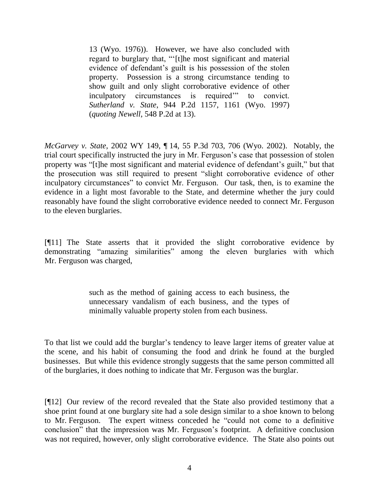13 (Wyo. 1976)). However, we have also concluded with regard to burglary that, ""[t]he most significant and material evidence of defendant's guilt is his possession of the stolen property. Possession is a strong circumstance tending to show guilt and only slight corroborative evidence of other inculpatory circumstances is required" to convict. *Sutherland v. State*, 944 P.2d 1157, 1161 (Wyo. 1997) (*quoting Newell*, 548 P.2d at 13).

*McGarvey v. State*, 2002 WY 149, ¶ 14, 55 P.3d 703, 706 (Wyo. 2002). Notably, the trial court specifically instructed the jury in Mr. Ferguson"s case that possession of stolen property was "[t]he most significant and material evidence of defendant"s guilt," but that the prosecution was still required to present "slight corroborative evidence of other inculpatory circumstances" to convict Mr. Ferguson. Our task, then, is to examine the evidence in a light most favorable to the State, and determine whether the jury could reasonably have found the slight corroborative evidence needed to connect Mr. Ferguson to the eleven burglaries.

[¶11] The State asserts that it provided the slight corroborative evidence by demonstrating "amazing similarities" among the eleven burglaries with which Mr. Ferguson was charged,

> such as the method of gaining access to each business, the unnecessary vandalism of each business, and the types of minimally valuable property stolen from each business.

To that list we could add the burglar"s tendency to leave larger items of greater value at the scene, and his habit of consuming the food and drink he found at the burgled businesses. But while this evidence strongly suggests that the same person committed all of the burglaries, it does nothing to indicate that Mr. Ferguson was the burglar.

[¶12] Our review of the record revealed that the State also provided testimony that a shoe print found at one burglary site had a sole design similar to a shoe known to belong to Mr. Ferguson. The expert witness conceded he "could not come to a definitive conclusion" that the impression was Mr. Ferguson"s footprint. A definitive conclusion was not required, however, only slight corroborative evidence. The State also points out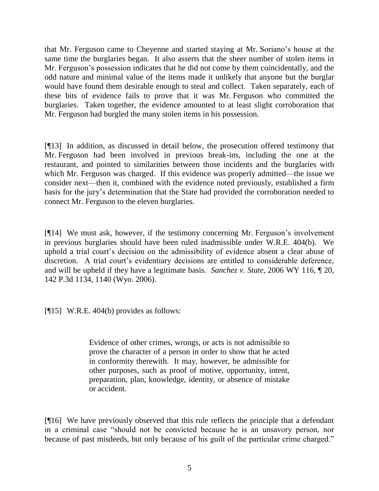that Mr. Ferguson came to Cheyenne and started staying at Mr. Soriano"s house at the same time the burglaries began. It also asserts that the sheer number of stolen items in Mr. Ferguson"s possession indicates that he did not come by them coincidentally, and the odd nature and minimal value of the items made it unlikely that anyone but the burglar would have found them desirable enough to steal and collect. Taken separately, each of these bits of evidence fails to prove that it was Mr. Ferguson who committed the burglaries. Taken together, the evidence amounted to at least slight corroboration that Mr. Ferguson had burgled the many stolen items in his possession.

[¶13] In addition, as discussed in detail below, the prosecution offered testimony that Mr. Ferguson had been involved in previous break-ins, including the one at the restaurant, and pointed to similarities between those incidents and the burglaries with which Mr. Ferguson was charged. If this evidence was properly admitted—the issue we consider next—then it, combined with the evidence noted previously, established a firm basis for the jury"s determination that the State had provided the corroboration needed to connect Mr. Ferguson to the eleven burglaries.

[¶14] We must ask, however, if the testimony concerning Mr. Ferguson"s involvement in previous burglaries should have been ruled inadmissible under W.R.E. 404(b). We uphold a trial court"s decision on the admissibility of evidence absent a clear abuse of discretion. A trial court's evidentiary decisions are entitled to considerable deference, and will be upheld if they have a legitimate basis. *Sanchez v. State*, 2006 WY 116, ¶ 20, 142 P.3d 1134, 1140 (Wyo. 2006).

[¶15] W.R.E. 404(b) provides as follows:

Evidence of other crimes, wrongs, or acts is not admissible to prove the character of a person in order to show that he acted in conformity therewith. It may, however, be admissible for other purposes, such as proof of motive, opportunity, intent, preparation, plan, knowledge, identity, or absence of mistake or accident.

[¶16] We have previously observed that this rule reflects the principle that a defendant in a criminal case "should not be convicted because he is an unsavory person, nor because of past misdeeds, but only because of his guilt of the particular crime charged."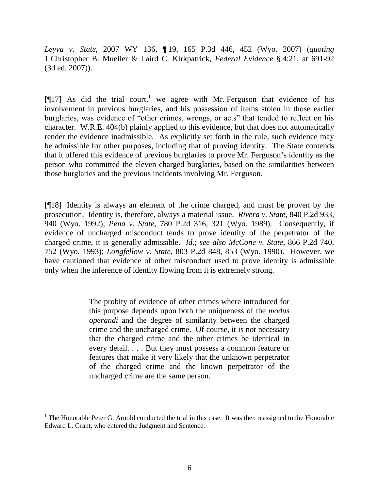*Leyva v. State*, 2007 WY 136, ¶ 19, 165 P.3d 446, 452 (Wyo. 2007) (*quoting* 1 Christopher B. Mueller & Laird C. Kirkpatrick, *Federal Evidence* § 4:21, at 691-92 (3d ed. 2007)).

[ $[17]$ ] As did the trial court,<sup>1</sup> we agree with Mr. Ferguson that evidence of his involvement in previous burglaries, and his possession of items stolen in those earlier burglaries, was evidence of "other crimes, wrongs, or acts" that tended to reflect on his character. W.R.E. 404(b) plainly applied to this evidence, but that does not automatically render the evidence inadmissible. As explicitly set forth in the rule, such evidence may be admissible for other purposes, including that of proving identity. The State contends that it offered this evidence of previous burglaries to prove Mr. Ferguson"s identity as the person who committed the eleven charged burglaries, based on the similarities between those burglaries and the previous incidents involving Mr. Ferguson.

[¶18] Identity is always an element of the crime charged, and must be proven by the prosecution. Identity is, therefore, always a material issue. *Rivera v. State*, 840 P.2d 933, 940 (Wyo. 1992); *Pena v. State*, 780 P.2d 316, 321 (Wyo. 1989). Consequently, if evidence of uncharged misconduct tends to prove identity of the perpetrator of the charged crime, it is generally admissible. *Id.*; *see also McCone v. State*, 866 P.2d 740, 752 (Wyo. 1993); *Longfellow v. State*, 803 P.2d 848, 853 (Wyo. 1990). However, we have cautioned that evidence of other misconduct used to prove identity is admissible only when the inference of identity flowing from it is extremely strong.

> The probity of evidence of other crimes where introduced for this purpose depends upon both the uniqueness of the *modus operandi* and the degree of similarity between the charged crime and the uncharged crime. Of course, it is not necessary that the charged crime and the other crimes be identical in every detail. . . . But they must possess a common feature or features that make it very likely that the unknown perpetrator of the charged crime and the known perpetrator of the uncharged crime are the same person.

 $1$  The Honorable Peter G. Arnold conducted the trial in this case. It was then reassigned to the Honorable Edward L. Grant, who entered the Judgment and Sentence.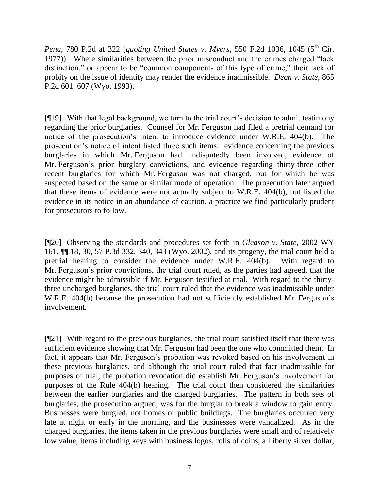*Pena*, 780 P.2d at 322 (*quoting United States v. Myers*, 550 F.2d 1036, 1045 (5<sup>th</sup> Cir. 1977)). Where similarities between the prior misconduct and the crimes charged "lack distinction," or appear to be "common components of this type of crime," their lack of probity on the issue of identity may render the evidence inadmissible. *Dean v. State*, 865 P.2d 601, 607 (Wyo. 1993).

[¶19] With that legal background, we turn to the trial court"s decision to admit testimony regarding the prior burglaries. Counsel for Mr. Ferguson had filed a pretrial demand for notice of the prosecution's intent to introduce evidence under W.R.E. 404(b). The prosecution"s notice of intent listed three such items: evidence concerning the previous burglaries in which Mr. Ferguson had undisputedly been involved, evidence of Mr. Ferguson"s prior burglary convictions, and evidence regarding thirty-three other recent burglaries for which Mr. Ferguson was not charged, but for which he was suspected based on the same or similar mode of operation. The prosecution later argued that these items of evidence were not actually subject to W.R.E. 404(b), but listed the evidence in its notice in an abundance of caution, a practice we find particularly prudent for prosecutors to follow.

[¶20] Observing the standards and procedures set forth in *Gleason v. State*, 2002 WY 161, ¶¶ 18, 30, 57 P.3d 332, 340, 343 (Wyo. 2002), and its progeny, the trial court held a pretrial hearing to consider the evidence under W.R.E. 404(b). With regard to Mr. Ferguson"s prior convictions, the trial court ruled, as the parties had agreed, that the evidence might be admissible if Mr. Ferguson testified at trial. With regard to the thirtythree uncharged burglaries, the trial court ruled that the evidence was inadmissible under W.R.E. 404(b) because the prosecution had not sufficiently established Mr. Ferguson's involvement.

[¶21] With regard to the previous burglaries, the trial court satisfied itself that there was sufficient evidence showing that Mr. Ferguson had been the one who committed them. In fact, it appears that Mr. Ferguson"s probation was revoked based on his involvement in these previous burglaries, and although the trial court ruled that fact inadmissible for purposes of trial, the probation revocation did establish Mr. Ferguson"s involvement for purposes of the Rule 404(b) hearing. The trial court then considered the similarities between the earlier burglaries and the charged burglaries. The pattern in both sets of burglaries, the prosecution argued, was for the burglar to break a window to gain entry. Businesses were burgled, not homes or public buildings. The burglaries occurred very late at night or early in the morning, and the businesses were vandalized. As in the charged burglaries, the items taken in the previous burglaries were small and of relatively low value, items including keys with business logos, rolls of coins, a Liberty silver dollar,